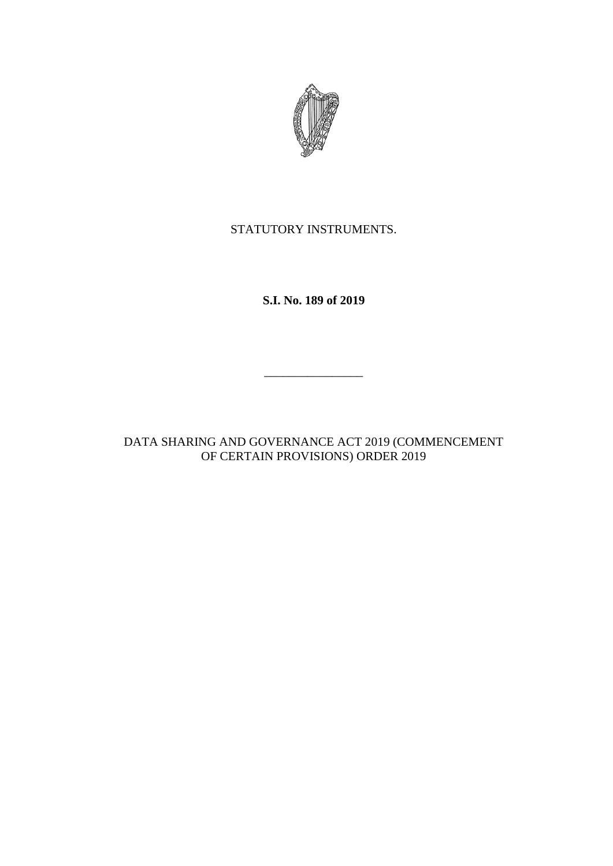

STATUTORY INSTRUMENTS.

**S.I. No. 189 of 2019**

\_\_\_\_\_\_\_\_\_\_\_\_\_\_\_\_

DATA SHARING AND GOVERNANCE ACT 2019 (COMMENCEMENT OF CERTAIN PROVISIONS) ORDER 2019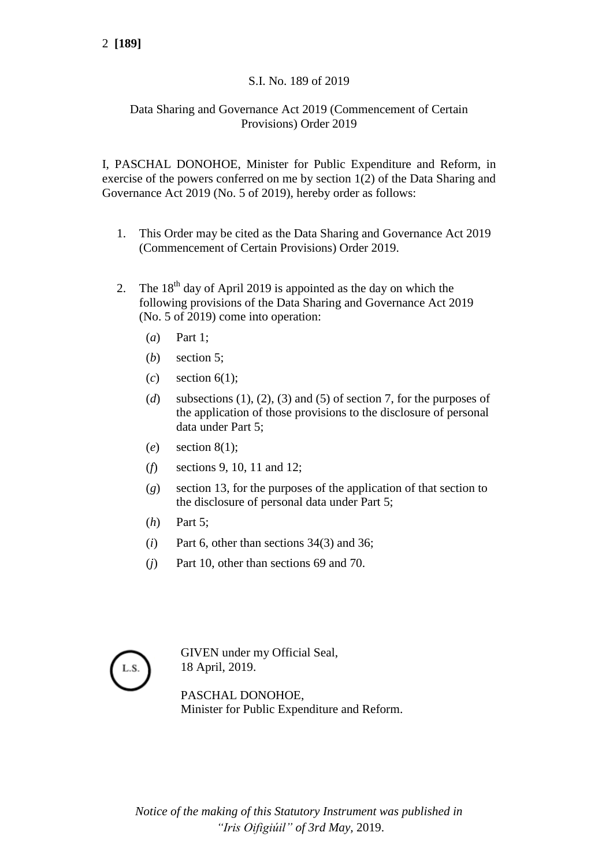## S.I. No. 189 of 2019

## Data Sharing and Governance Act 2019 (Commencement of Certain Provisions) Order 2019

I, PASCHAL DONOHOE, Minister for Public Expenditure and Reform, in exercise of the powers conferred on me by section 1(2) of the Data Sharing and Governance Act 2019 (No. 5 of 2019), hereby order as follows:

- 1. This Order may be cited as the Data Sharing and Governance Act 2019 (Commencement of Certain Provisions) Order 2019.
- 2. The  $18<sup>th</sup>$  day of April 2019 is appointed as the day on which the following provisions of the Data Sharing and Governance Act 2019 (No. 5 of 2019) come into operation:
	- (*a*) Part 1;
	- (*b*) section 5;
	- (*c*) section 6(1);
	- (*d*) subsections (1), (2), (3) and (5) of section 7, for the purposes of the application of those provisions to the disclosure of personal data under Part 5;
	- (*e*) section 8(1);
	- (*f*) sections 9, 10, 11 and 12;
	- (*g*) section 13, for the purposes of the application of that section to the disclosure of personal data under Part 5;
	- (*h*) Part 5;
	- (*i*) Part 6, other than sections 34(3) and 36;
	- (*j*) Part 10, other than sections 69 and 70.



GIVEN under my Official Seal, 18 April, 2019.

PASCHAL DONOHOE, Minister for Public Expenditure and Reform.

*Notice of the making of this Statutory Instrument was published in "Iris Oifigiúil" of 3rd May,* 2019.